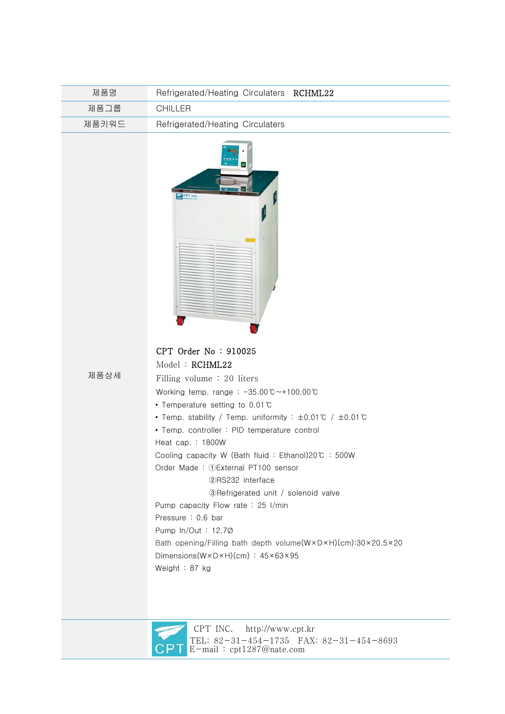| 제품명   | Refrigerated/Heating Circulaters RCHML22 |
|-------|------------------------------------------|
| 제품그룹  | CHILLER                                  |
| 제품키워드 | Refrigerated/Heating Circulaters         |



## CPT Order No : 910025 Model : RCHML22

제품상세

| Filling volume $: 20$ liters                                                                     |  |
|--------------------------------------------------------------------------------------------------|--|
| Working temp. range: $-35.00^{\circ}$ C $-100.00^{\circ}$ C                                      |  |
| • Temperature setting to 0.01 $\degree$                                                          |  |
| • Temp. stability / Temp. uniformity : $\pm 0.01 \degree$ / $\pm 0.01 \degree$ C                 |  |
| • Temp. controller: PID temperature control                                                      |  |
| Heat cap. $: 1800W$                                                                              |  |
| Cooling capacity W (Bath fluid: Ethanol)20℃: 500W                                                |  |
| Order Made: 1) External PT100 sensor                                                             |  |
| (2)RS232 interface                                                                               |  |
| 3) Refrigerated unit / solenoid valve                                                            |  |
| Pump capacity Flow rate : 25 $1$ /min                                                            |  |
| Pressure: 0.6 bar                                                                                |  |
| Pump $ln/Out: 12.7\varnothing$                                                                   |  |
| Bath opening/Filling bath depth volume(W $\times$ D $\times$ H)(cm):30 $\times$ 20.5 $\times$ 20 |  |
| Dimensions( $W \times D \times H$ )(cm) : $45 \times 63 \times 95$                               |  |
| Weight : 87 kg                                                                                   |  |
|                                                                                                  |  |



 CPT INC. http://www.cpt.kr TEL: 82-31-454-1735 FAX: 82-31-454-8693 E-mail : cpt1287@nate.com